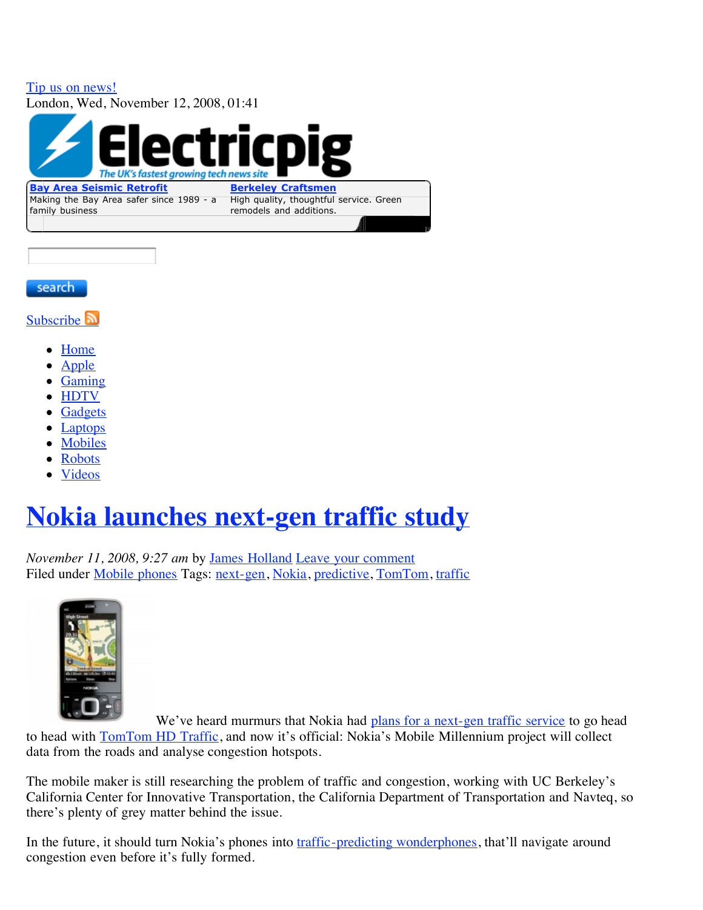## Tip us on news! London, Wed, November 12, 2008, 01:41 The UK's fastest growing tech news site **Berkeley Craftsmen Bay Area Seismic Retrofit** Making the Bay Area safer since 1989 - a High quality, thoughtful service. Green family business remodels and additions.

#### search

Subscribe **a** 

- Home
- Apple
- Gaming
- HDTV
- **Gadgets**
- **Laptops**
- Mobiles
- Robots
- Videos

# **Nokia launches next-gen traffic study**

*November 11, 2008, 9:27 am* by James Holland Leave your comment Filed under Mobile phones Tags: next-gen, Nokia, predictive, TomTom, traffic



We've heard murmurs that Nokia had plans for a next-gen traffic service to go head to head with **TomTom HD Traffic**, and now it's official: Nokia's Mobile Millennium project will collect data from the roads and analyse congestion hotspots.

The mobile maker is still researching the problem of traffic and congestion, working with UC Berkeley's California Center for Innovative Transportation, the California Department of Transportation and Navteq, so there's plenty of grey matter behind the issue.

In the future, it should turn Nokia's phones into traffic-predicting wonderphones, that'll navigate around congestion even before it's fully formed.